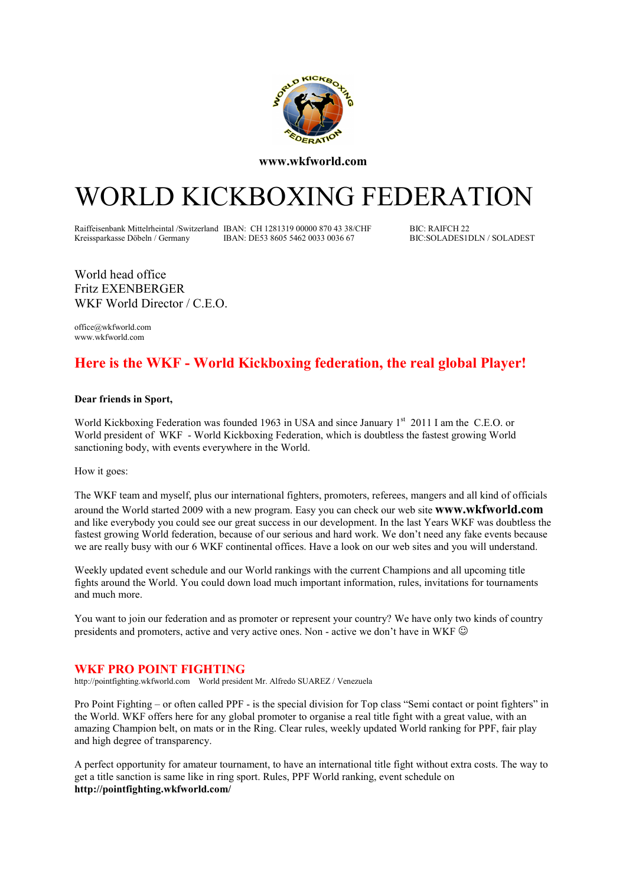

www.wkfworld.com

# WORLD KICKBOXING FEDERATION

Raiffeisenbank Mittelrheintal /Switzerland IBAN: CH 1281319 00000 870 43 38/CHF BIC: RAIFCH 22<br>Kreissparkasse Döbeln / Germany IBAN: DE53 8605 5462 0033 0036 67 BIC: SOLADES1 DLN / SOLADEST IBAN: DE53 8605 5462 0033 0036 67

World head office Fritz EXENBERGER WKF World Director / C.E.O.

office@wkfworld.com www.wkfworld.com

### Here is the WKF - World Kickboxing federation, the real global Player!

#### Dear friends in Sport,

World Kickboxing Federation was founded 1963 in USA and since January 1<sup>st</sup> 2011 I am the C.E.O. or World president of WKF - World Kickboxing Federation, which is doubtless the fastest growing World sanctioning body, with events everywhere in the World.

How it goes:

The WKF team and myself, plus our international fighters, promoters, referees, mangers and all kind of officials around the World started 2009 with a new program. Easy you can check our web site www.wkfworld.com and like everybody you could see our great success in our development. In the last Years WKF was doubtless the fastest growing World federation, because of our serious and hard work. We don't need any fake events because we are really busy with our 6 WKF continental offices. Have a look on our web sites and you will understand.

Weekly updated event schedule and our World rankings with the current Champions and all upcoming title fights around the World. You could down load much important information, rules, invitations for tournaments and much more.

You want to join our federation and as promoter or represent your country? We have only two kinds of country presidents and promoters, active and very active ones. Non - active we don't have in WKF  $\odot$ 

#### WKF PRO POINT FIGHTING

http://pointfighting.wkfworld.com World president Mr. Alfredo SUAREZ / Venezuela

Pro Point Fighting – or often called PPF - is the special division for Top class "Semi contact or point fighters" in the World. WKF offers here for any global promoter to organise a real title fight with a great value, with an amazing Champion belt, on mats or in the Ring. Clear rules, weekly updated World ranking for PPF, fair play and high degree of transparency.

A perfect opportunity for amateur tournament, to have an international title fight without extra costs. The way to get a title sanction is same like in ring sport. Rules, PPF World ranking, event schedule on http://pointfighting.wkfworld.com/